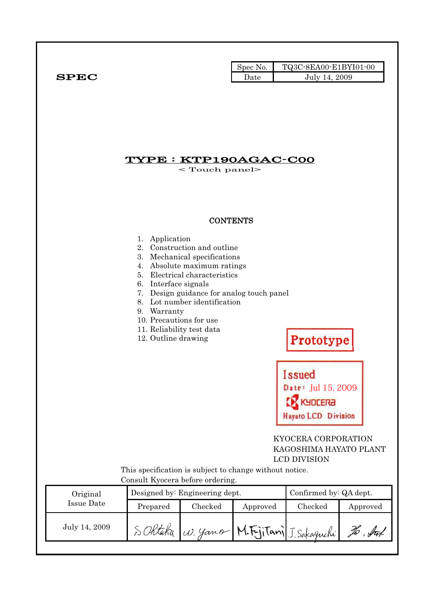|                   |                                                                                                                                      |                                                                                                                                                                                                          | Spec No. | TQ3C-8EA00-E1BYI01-00                                                                                                         |          |
|-------------------|--------------------------------------------------------------------------------------------------------------------------------------|----------------------------------------------------------------------------------------------------------------------------------------------------------------------------------------------------------|----------|-------------------------------------------------------------------------------------------------------------------------------|----------|
| ${\bf SPEC}$      |                                                                                                                                      |                                                                                                                                                                                                          | Date     | July 14, 2009                                                                                                                 |          |
|                   |                                                                                                                                      | $\mathbf{YPE}:\mathbf{KTP190AGAC\text{-}COO}$<br>$<$ Touch panel $>$                                                                                                                                     |          |                                                                                                                               |          |
|                   |                                                                                                                                      | <b>CONTENTS</b>                                                                                                                                                                                          |          |                                                                                                                               |          |
|                   | 1. Application<br>6. Interface signals<br>9. Warranty<br>10. Precautions for use<br>11. Reliability test data<br>12. Outline drawing | 2. Construction and outline<br>3. Mechanical specifications<br>4. Absolute maximum ratings<br>5. Electrical characteristics<br>7. Design guidance for analog touch panel<br>8. Lot number identification |          | Prototype<br>$\bullet$ . The set of $\bullet$<br><b>Issued</b><br>Date: Jul 15, 2009<br>KYDCERƏ<br><b>Hayato LCD Division</b> |          |
|                   |                                                                                                                                      |                                                                                                                                                                                                          |          | KYOCERA CORPORATION<br>KAGOSHIMA HAYATO PLANT<br>LCD DIVISION                                                                 |          |
|                   | This specification is subject to change without notice.<br>Consult Kyocera before ordering.                                          |                                                                                                                                                                                                          |          |                                                                                                                               |          |
| Original          | Confirmed by: QA dept.<br>Designed by: Engineering dept.                                                                             |                                                                                                                                                                                                          |          |                                                                                                                               |          |
| <b>Issue Date</b> | Prepared                                                                                                                             | Checked                                                                                                                                                                                                  | Approved | Checked                                                                                                                       | Approved |
|                   |                                                                                                                                      |                                                                                                                                                                                                          |          | SORtaka W. yano M.FrjiTani J. Sakaguchi                                                                                       |          |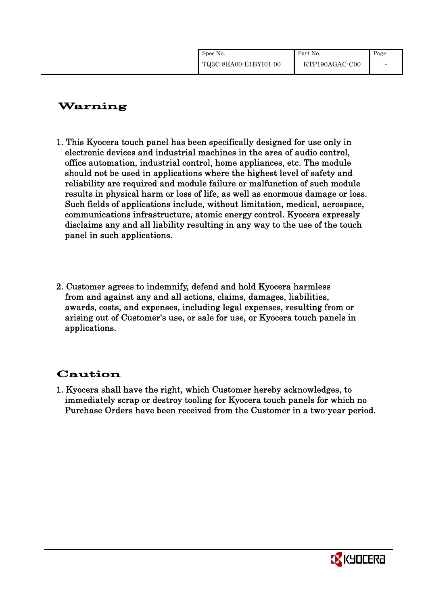| Spec No.              | Part No.       | Page |
|-----------------------|----------------|------|
| TQ3C-8EA00-E1BYI01-00 | KTP190AGAC-C00 |      |

# Warning

- 1. This Kyocera touch panel has been specifically designed for use only in electronic devices and industrial machines in the area of audio control, office automation, industrial control, home appliances, etc. The module should not be used in applications where the highest level of safety and reliability are required and module failure or malfunction of such module results in physical harm or loss of life, as well as enormous damage or loss. Such fields of applications include, without limitation, medical, aerospace, communications infrastructure, atomic energy control. Kyocera expressly disclaims any and all liability resulting in any way to the use of the touch panel in such applications.
- 2. Customer agrees to indemnify, defend and hold Kyocera harmless from and against any and all actions, claims, damages, liabilities, awards, costs, and expenses, including legal expenses, resulting from or arising out of Customer's use, or sale for use, or Kyocera touch panels in applications.

# Caution

1. Kyocera shall have the right, which Customer hereby acknowledges, to immediately scrap or destroy tooling for Kyocera touch panels for which no Purchase Orders have been received from the Customer in a two-year period.

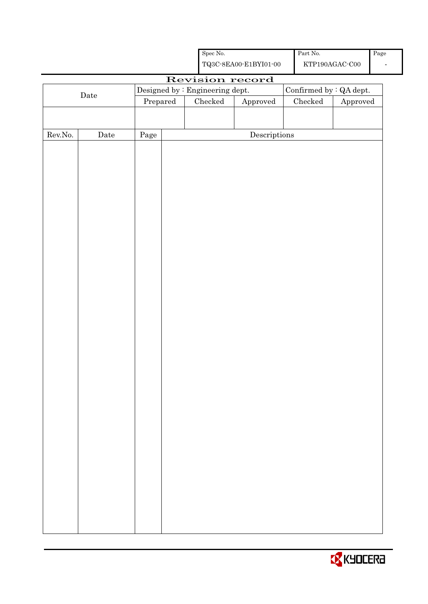|         |      |                                 | ${\rm Spec}$ No.                                   |                                      | Part No.      |                         | Page |
|---------|------|---------------------------------|----------------------------------------------------|--------------------------------------|---------------|-------------------------|------|
|         |      |                                 | ${\bf TQ3C\text{-}8EAOO\text{-}E1BYI01\text{-}00}$ |                                      |               | $\verb KTP190AGAC-C00 $ |      |
|         |      |                                 | Revision record                                    |                                      |               |                         |      |
|         | Date | Designed by : Engineering dept. |                                                    | Confirmed by : QA dept.              |               |                         |      |
|         |      | Prepared                        | $\rm Checked$                                      | Approved                             | $\rm Checked$ | Approved                |      |
|         |      |                                 |                                                    |                                      |               |                         |      |
|         |      |                                 |                                                    |                                      |               |                         |      |
| Rev.No. | Date | Page                            |                                                    | $\label{eq:2} \textbf{Descriptions}$ |               |                         |      |
|         |      |                                 |                                                    |                                      |               |                         |      |
|         |      |                                 |                                                    |                                      |               |                         |      |
|         |      |                                 |                                                    |                                      |               |                         |      |
|         |      |                                 |                                                    |                                      |               |                         |      |
|         |      |                                 |                                                    |                                      |               |                         |      |
|         |      |                                 |                                                    |                                      |               |                         |      |
|         |      |                                 |                                                    |                                      |               |                         |      |
|         |      |                                 |                                                    |                                      |               |                         |      |
|         |      |                                 |                                                    |                                      |               |                         |      |
|         |      |                                 |                                                    |                                      |               |                         |      |
|         |      |                                 |                                                    |                                      |               |                         |      |
|         |      |                                 |                                                    |                                      |               |                         |      |
|         |      |                                 |                                                    |                                      |               |                         |      |
|         |      |                                 |                                                    |                                      |               |                         |      |
|         |      |                                 |                                                    |                                      |               |                         |      |
|         |      |                                 |                                                    |                                      |               |                         |      |
|         |      |                                 |                                                    |                                      |               |                         |      |
|         |      |                                 |                                                    |                                      |               |                         |      |
|         |      |                                 |                                                    |                                      |               |                         |      |
|         |      |                                 |                                                    |                                      |               |                         |      |
|         |      |                                 |                                                    |                                      |               |                         |      |
|         |      |                                 |                                                    |                                      |               |                         |      |
|         |      |                                 |                                                    |                                      |               |                         |      |
|         |      |                                 |                                                    |                                      |               |                         |      |
|         |      |                                 |                                                    |                                      |               |                         |      |
|         |      |                                 |                                                    |                                      |               |                         |      |
|         |      |                                 |                                                    |                                      |               |                         |      |
|         |      |                                 |                                                    |                                      |               |                         |      |
|         |      |                                 |                                                    |                                      |               |                         |      |
|         |      |                                 |                                                    |                                      |               |                         |      |
|         |      |                                 |                                                    |                                      |               |                         |      |
|         |      |                                 |                                                    |                                      |               |                         |      |
|         |      |                                 |                                                    |                                      |               |                         |      |

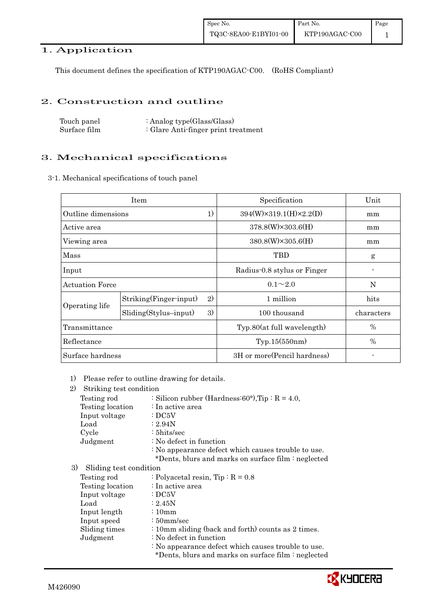# 1. Application

This document defines the specification of KTP190AGAC-C00. (RoHS Compliant)

### 2. Construction and outline

Touch panel Surface film : Analog type(Glass/Glass) : Glare Anti-finger print treatment

# 3. Mechanical specifications

3-1. Mechanical specifications of touch panel

| Item                                            |    | Specification                          | Unit       |
|-------------------------------------------------|----|----------------------------------------|------------|
| Outline dimensions                              | 1) | $394(W) \times 319.1(H) \times 2.2(D)$ | mm         |
| Active area                                     |    | $378.8(W)\times303.6(H)$               | mm         |
| Viewing area                                    |    | $380.8(W)\times305.6(H)$               | mm         |
| Mass                                            |    | TBD                                    | g          |
| Input                                           |    | Radius 0.8 stylus or Finger            |            |
| <b>Actuation Force</b>                          |    | $0.1 \sim 2.0$                         | N          |
| Striking(Finger-input)<br>2)                    |    | 1 million                              | hits       |
| Operating life<br>3)<br>$Sliding(Stylus-input)$ |    | 100 thousand                           | characters |
| Transmittance                                   |    | Typ.80(at full wavelength)             | $\%$       |
| Reflectance                                     |    | Typ.15(550nm)                          | $\%$       |
| Surface hardness                                |    | 3H or more (Pencil hardness)           |            |

1) Please refer to outline drawing for details.

| 2)<br>Striking test condition |                                                                                                            |
|-------------------------------|------------------------------------------------------------------------------------------------------------|
| Testing rod                   | : Silicon rubber (Hardness: $60^{\circ}$ ), Tip : R = 4.0,                                                 |
| Testing location              | : In active area                                                                                           |
| Input voltage                 | $\cdot$ DC5V                                                                                               |
| Load                          | : 2.94N                                                                                                    |
| Cycle                         | $: 5$ hits/sec                                                                                             |
| Judgment                      | : No defect in function                                                                                    |
|                               | : No appearance defect which causes trouble to use.<br>*Dents, blurs and marks on surface film : neglected |
| 3)<br>Sliding test condition  |                                                                                                            |
| Testing rod                   | : Polyacetal resin, $Tip: R = 0.8$                                                                         |
| Testing location              | : In active area                                                                                           |
| Input voltage                 | $\cdot$ DC5V                                                                                               |
| Load                          | : 2.45N                                                                                                    |
| Input length                  | $\frac{10}{2}$                                                                                             |
| Input speed                   | $\frac{1}{2}$ 50 mm/sec                                                                                    |
| Sliding times                 | : 10mm sliding (back and forth) counts as 2 times.                                                         |
| Judgment                      | : No defect in function                                                                                    |
|                               | : No appearance defect which causes trouble to use.                                                        |
|                               | *Dents, blurs and marks on surface film : neglected                                                        |
|                               |                                                                                                            |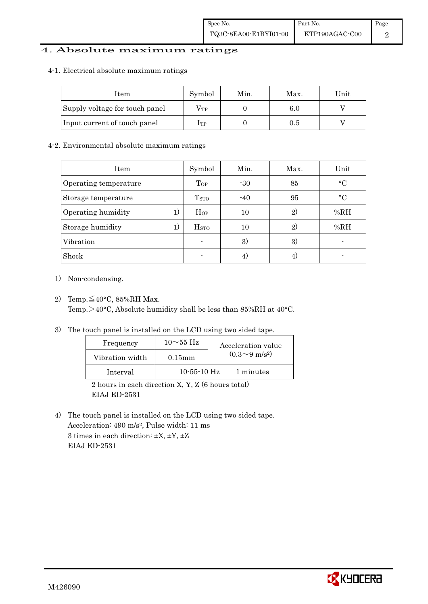# 4. Absolute maximum ratings

#### 4-1. Electrical absolute maximum ratings

| Item                           | Symbol       | Min. | Max. | $\operatorname{Unit}$ |
|--------------------------------|--------------|------|------|-----------------------|
| Supply voltage for touch panel | $\rm V_{TP}$ |      | 6.0  |                       |
| Input current of touch panel   | Itp          |      | 0.5  |                       |

#### 4-2. Environmental absolute maximum ratings

| <b>Item</b>           |    | Symbol                  | Min.  | Max. | Unit            |
|-----------------------|----|-------------------------|-------|------|-----------------|
| Operating temperature |    | Top                     | $-30$ | 85   | $\rm ^{\circ}C$ |
| Storage temperature   |    | T <sub>STO</sub>        | $-40$ | 95   | $\circ$ C       |
| Operating humidity    | 1) | $H_{OP}$                | 10    | 2)   | %RH             |
| Storage humidity      | 1) | <b>H</b> <sub>sTO</sub> | 10    | 2)   | %RH             |
| Vibration             |    | ۰                       | 3)    | 3)   |                 |
| Shock                 |    | $\blacksquare$          | 4)    | 4)   |                 |

- 1) Non-condensing.
- 2) Temp. $\leq 40^{\circ}$ C, 85%RH Max. Temp.>40°C, Absolute humidity shall be less than 85%RH at 40°C.
- 3) The touch panel is installed on the LCD using two sided tape.

| Frequency       | $10\sim55~\text{Hz}$ | Acceleration value         |
|-----------------|----------------------|----------------------------|
| Vibration width | $0.15$ mm            | $(0.3{\sim}9~{\rm m/s^2})$ |
| Interval        | $10-55-10$ Hz        | 1 minutes                  |
|                 |                      |                            |

 2 hours in each direction X, Y, Z (6 hours total) EIAJ ED-2531

4) The touch panel is installed on the LCD using two sided tape. Acceleration: 490 m/s2, Pulse width: 11 ms 3 times in each direction:  $\pm X$ ,  $\pm Y$ ,  $\pm Z$ EIAJ ED-2531

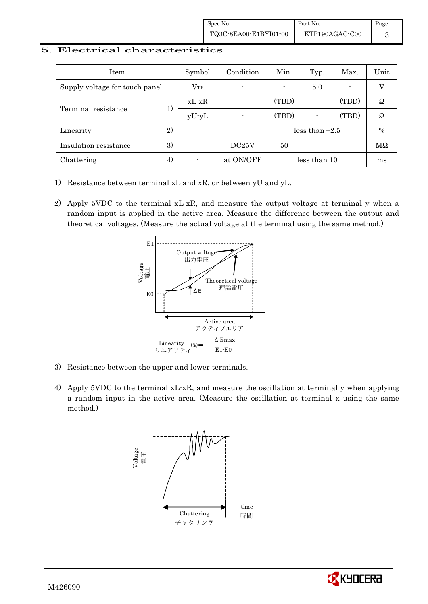### 5. Electrical characteristics

| Item                           | Symbol       | Condition                | Min.  | Typ.                     | Max.  | Unit |
|--------------------------------|--------------|--------------------------|-------|--------------------------|-------|------|
| Supply voltage for touch panel | $\rm V_{TP}$ | $\overline{\phantom{a}}$ |       | 5.0                      |       |      |
| Terminal resistance            | $xL-xR$      |                          | (TBD) |                          | (TBD) | Ω    |
| 1)                             | $yU-yL$      | $\overline{\phantom{a}}$ | (TBD) | $\overline{\phantom{0}}$ | (TBD) | Ω    |
| 2)<br>Linearity                |              | $\overline{\phantom{a}}$ |       | less than $\pm 2.5$      |       | $\%$ |
| 3)<br>Insulation resistance    |              | DC25V                    | 50    | $\overline{\phantom{0}}$ |       | МΩ   |
| Chattering<br>4)               |              | at ON/OFF                |       | less than 10             |       | ms   |

- 1) Resistance between terminal xL and xR, or between yU and yL.
- 2) Apply 5VDC to the terminal xL-xR, and measure the output voltage at terminal y when a random input is applied in the active area. Measure the difference between the output and theoretical voltages. (Measure the actual voltage at the terminal using the same method.)



- 3) Resistance between the upper and lower terminals.
- 4) Apply 5VDC to the terminal xL-xR, and measure the oscillation at terminal y when applying a random input in the active area. (Measure the oscillation at terminal x using the same method.)



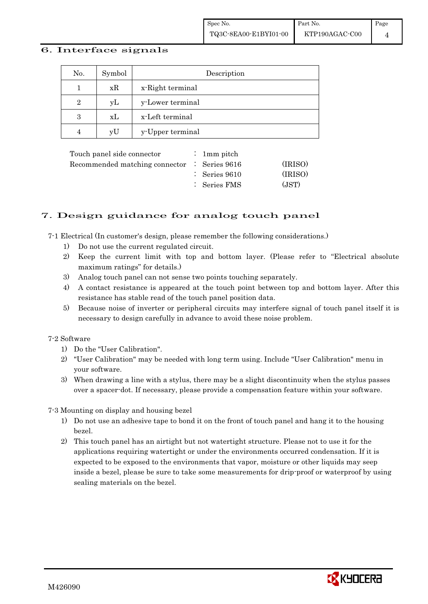### 6. Interface signals

| No. | Symbol | Description      |
|-----|--------|------------------|
|     | xR     | x-Right terminal |
| 2   | уL     | y-Lower terminal |
| 3   | xL     | x-Left terminal  |
| 4   | vU     | y-Upper terminal |

|  | (IRISO)                                                                                                             |
|--|---------------------------------------------------------------------------------------------------------------------|
|  | (IRISO)                                                                                                             |
|  | (JST)                                                                                                               |
|  | : 1 mm pitch<br>Recommended matching connector $\therefore$ Series 9616<br>$\therefore$ Series 9610<br>: Series FMS |

# 7. Design guidance for analog touch panel

7-1 Electrical (In customer's design, please remember the following considerations.)

- 1) Do not use the current regulated circuit.
- 2) Keep the current limit with top and bottom layer. (Please refer to "Electrical absolute maximum ratings" for details.)
- 3) Analog touch panel can not sense two points touching separately.
- 4) A contact resistance is appeared at the touch point between top and bottom layer. After this resistance has stable read of the touch panel position data.
- 5) Because noise of inverter or peripheral circuits may interfere signal of touch panel itself it is necessary to design carefully in advance to avoid these noise problem.

#### 7-2 Software

- 1) Do the "User Calibration".
- 2) "User Calibration" may be needed with long term using. Include "User Calibration" menu in your software.
- 3) When drawing a line with a stylus, there may be a slight discontinuity when the stylus passes over a spacer-dot. If necessary, please provide a compensation feature within your software.

7-3 Mounting on display and housing bezel

- 1) Do not use an adhesive tape to bond it on the front of touch panel and hang it to the housing bezel.
- 2) This touch panel has an airtight but not watertight structure. Please not to use it for the applications requiring watertight or under the environments occurred condensation. If it is expected to be exposed to the environments that vapor, moisture or other liquids may seep inside a bezel, please be sure to take some measurements for drip-proof or waterproof by using sealing materials on the bezel.

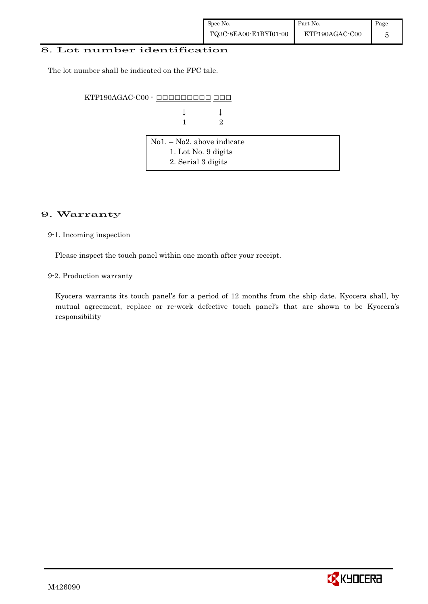### 8. Lot number identification

The lot number shall be indicated on the FPC tale.

KTP190AGAC-C00 - ######### ###

 $\downarrow$   $\downarrow$   $\downarrow$ 1 2

| $\vert$ No1. – No2. above indicate |  |
|------------------------------------|--|
| 1. Lot No. 9 digits                |  |
| 2. Serial 3 digits                 |  |

## 9. Warranty

9-1. Incoming inspection

Please inspect the touch panel within one month after your receipt.

9-2. Production warranty

 Kyocera warrants its touch panel's for a period of 12 months from the ship date. Kyocera shall, by mutual agreement, replace or re-work defective touch panel's that are shown to be Kyocera's responsibility

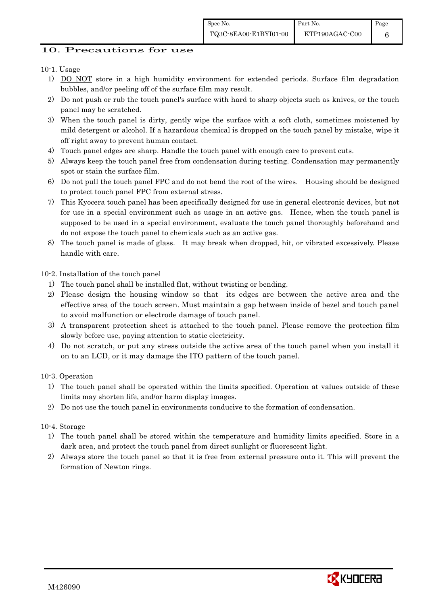6

# 10. Precautions for use

# 10-1. Usage

- 1) DO NOT store in a high humidity environment for extended periods. Surface film degradation bubbles, and/or peeling off of the surface film may result.
- 2) Do not push or rub the touch panel's surface with hard to sharp objects such as knives, or the touch panel may be scratched.
- 3) When the touch panel is dirty, gently wipe the surface with a soft cloth, sometimes moistened by mild detergent or alcohol. If a hazardous chemical is dropped on the touch panel by mistake, wipe it off right away to prevent human contact.
- 4) Touch panel edges are sharp. Handle the touch panel with enough care to prevent cuts.
- 5) Always keep the touch panel free from condensation during testing. Condensation may permanently spot or stain the surface film.
- 6) Do not pull the touch panel FPC and do not bend the root of the wires. Housing should be designed to protect touch panel FPC from external stress.
- 7) This Kyocera touch panel has been specifically designed for use in general electronic devices, but not for use in a special environment such as usage in an active gas. Hence, when the touch panel is supposed to be used in a special environment, evaluate the touch panel thoroughly beforehand and do not expose the touch panel to chemicals such as an active gas.
- 8) The touch panel is made of glass. It may break when dropped, hit, or vibrated excessively. Please handle with care.

10-2. Installation of the touch panel

- 1) The touch panel shall be installed flat, without twisting or bending.
- 2) Please design the housing window so that its edges are between the active area and the effective area of the touch screen. Must maintain a gap between inside of bezel and touch panel to avoid malfunction or electrode damage of touch panel.
- 3) A transparent protection sheet is attached to the touch panel. Please remove the protection film slowly before use, paying attention to static electricity.
- 4) Do not scratch, or put any stress outside the active area of the touch panel when you install it on to an LCD, or it may damage the ITO pattern of the touch panel.

10-3. Operation

- 1) The touch panel shall be operated within the limits specified. Operation at values outside of these limits may shorten life, and/or harm display images.
- 2) Do not use the touch panel in environments conducive to the formation of condensation.

10-4. Storage

- 1) The touch panel shall be stored within the temperature and humidity limits specified. Store in a dark area, and protect the touch panel from direct sunlight or fluorescent light.
- 2) Always store the touch panel so that it is free from external pressure onto it. This will prevent the formation of Newton rings.

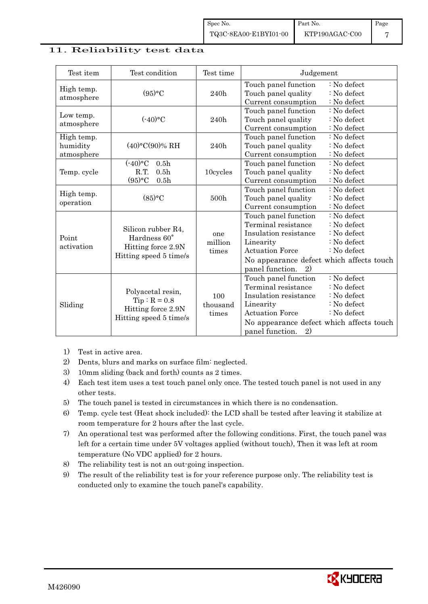### 11. Reliability test data

| Test item                            | Test condition                                                                              | Test time                | Judgement                                                                                                                                                                                                                                                   |
|--------------------------------------|---------------------------------------------------------------------------------------------|--------------------------|-------------------------------------------------------------------------------------------------------------------------------------------------------------------------------------------------------------------------------------------------------------|
| High temp.<br>atmosphere             | (95)°C                                                                                      | 240h                     | : No defect<br>Touch panel function<br>Touch panel quality<br>: No defect<br>Current consumption<br>: No defect                                                                                                                                             |
| Low temp.<br>atmosphere              | $(-40)$ °C                                                                                  | 240h                     | Touch panel function<br>$: No$ defect<br>Touch panel quality<br>: No defect<br>Current consumption<br>: No defect                                                                                                                                           |
| High temp.<br>humidity<br>atmosphere | $(40)$ °C $(90)$ % RH                                                                       | 240h                     | Touch panel function<br>: No defect<br>Touch panel quality<br>: No defect<br>Current consumption<br>: No defect                                                                                                                                             |
| Temp. cycle                          | $(-40)$ °C<br>0.5 <sub>h</sub><br>R.T.<br>0.5 <sub>h</sub><br>$(95)$ °C<br>0.5 <sub>h</sub> | 10cycles                 | Touch panel function<br>: No defect<br>Touch panel quality<br>: No defect<br>Current consumption<br>: No defect                                                                                                                                             |
| High temp.<br>operation              | (85)°C                                                                                      | 500h                     | : No defect<br>Touch panel function<br>Touch panel quality<br>: No defect<br>Current consumption<br>: No defect                                                                                                                                             |
| Point<br>activation                  | Silicon rubber R4,<br>Hardness 60°<br>Hitting force 2.9N<br>Hitting speed 5 time/s          | one<br>million<br>times  | Touch panel function<br>: No defect<br>Terminal resistance<br>: No defect<br>Insulation resistance<br>: No defect<br>: No defect<br>Linearity<br><b>Actuation Force</b><br>: No defect<br>No appearance defect which affects touch<br>panel function.<br>2) |
| Sliding                              | Polyacetal resin,<br>$Tip: R = 0.8$<br>Hitting force 2.9N<br>Hitting speed 5 time/s         | 100<br>thousand<br>times | : No defect<br>Touch panel function<br>Terminal resistance<br>: No defect<br>Insulation resistance<br>: No defect<br>: No defect<br>Linearity<br><b>Actuation Force</b><br>: No defect<br>No appearance defect which affects touch<br>panel function.<br>2) |

- 1) Test in active area.
- 2) Dents, blurs and marks on surface film: neglected.
- 3) 10mm sliding (back and forth) counts as 2 times.
- 4) Each test item uses a test touch panel only once. The tested touch panel is not used in any other tests.
- 5) The touch panel is tested in circumstances in which there is no condensation.
- 6) Temp. cycle test (Heat shock included): the LCD shall be tested after leaving it stabilize at room temperature for 2 hours after the last cycle.
- 7) An operational test was performed after the following conditions. First, the touch panel was left for a certain time under 5V voltages applied (without touch), Then it was left at room temperature (No VDC applied) for 2 hours.
- 8) The reliability test is not an out-going inspection.
- 9) The result of the reliability test is for your reference purpose only. The reliability test is conducted only to examine the touch panel's capability.

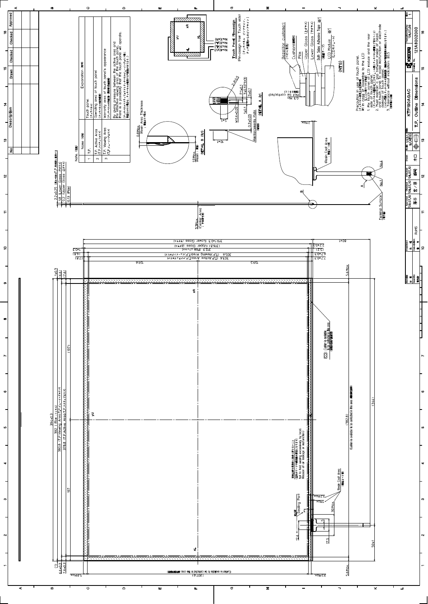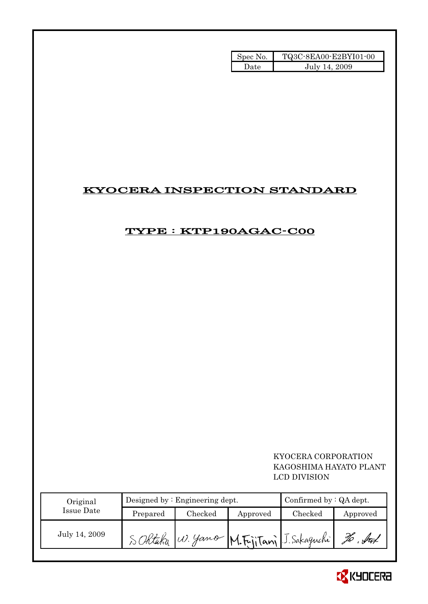| Spec No. | TQ3C-8EA00-E2BYI01-00 |
|----------|-----------------------|
| Date     | July 14, 2009         |

# KYOCERA INSPECTION STANDARD

# TYPE : KTP190AGAC-C00

 KYOCERA CORPORATION KAGOSHIMA HAYATO PLANT LCD DIVISION

| Original      |          | Designed by $:$ Engineering dept. | Confirmed by $:QA$ dept. |                                         |          |
|---------------|----------|-----------------------------------|--------------------------|-----------------------------------------|----------|
| Issue Date    | Prepared | Checked                           | Approved                 | Checked                                 | Approved |
| July 14, 2009 |          |                                   |                          | SORtaka W. Yamo M.FijiTani J. Sakaguchi | Ď        |

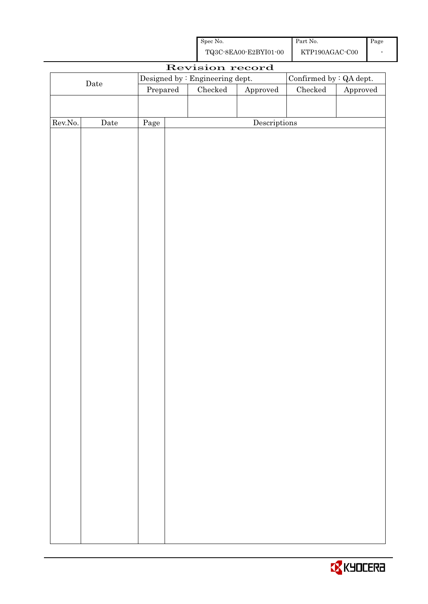| Spec No.              | Part No.       | Page |
|-----------------------|----------------|------|
| TQ3C-8EA00-E2BYI01-00 | KTP190AGAC-C00 |      |

|                  |      |          |  | Revision record                         |              |                         |          |
|------------------|------|----------|--|-----------------------------------------|--------------|-------------------------|----------|
| $\rm{Date}$      |      |          |  | Designed by : Engineering dept.         |              | Confirmed by : QA dept. |          |
|                  |      | Prepared |  | $\rm Checked$<br>${\Large\bf Approved}$ |              | Checked                 | Approved |
|                  |      |          |  |                                         |              |                         |          |
|                  |      |          |  |                                         |              |                         |          |
| ${\rm Rev. No.}$ | Date | Page     |  |                                         | Descriptions |                         |          |
|                  |      |          |  |                                         |              |                         |          |
|                  |      |          |  |                                         |              |                         |          |
|                  |      |          |  |                                         |              |                         |          |
|                  |      |          |  |                                         |              |                         |          |
|                  |      |          |  |                                         |              |                         |          |
|                  |      |          |  |                                         |              |                         |          |
|                  |      |          |  |                                         |              |                         |          |
|                  |      |          |  |                                         |              |                         |          |
|                  |      |          |  |                                         |              |                         |          |
|                  |      |          |  |                                         |              |                         |          |
|                  |      |          |  |                                         |              |                         |          |
|                  |      |          |  |                                         |              |                         |          |
|                  |      |          |  |                                         |              |                         |          |
|                  |      |          |  |                                         |              |                         |          |
|                  |      |          |  |                                         |              |                         |          |
|                  |      |          |  |                                         |              |                         |          |
|                  |      |          |  |                                         |              |                         |          |
|                  |      |          |  |                                         |              |                         |          |
|                  |      |          |  |                                         |              |                         |          |
|                  |      |          |  |                                         |              |                         |          |
|                  |      |          |  |                                         |              |                         |          |
|                  |      |          |  |                                         |              |                         |          |
|                  |      |          |  |                                         |              |                         |          |
|                  |      |          |  |                                         |              |                         |          |
|                  |      |          |  |                                         |              |                         |          |
|                  |      |          |  |                                         |              |                         |          |
|                  |      |          |  |                                         |              |                         |          |
|                  |      |          |  |                                         |              |                         |          |
|                  |      |          |  |                                         |              |                         |          |
|                  |      |          |  |                                         |              |                         |          |
|                  |      |          |  |                                         |              |                         |          |
|                  |      |          |  |                                         |              |                         |          |
|                  |      |          |  |                                         |              |                         |          |
|                  |      |          |  |                                         |              |                         |          |
|                  |      |          |  |                                         |              |                         |          |
|                  |      |          |  |                                         |              |                         |          |
|                  |      |          |  |                                         |              |                         |          |

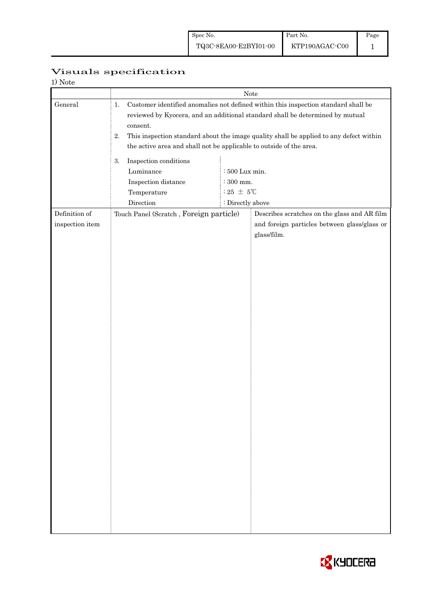# Visuals specification

| 1) Note         |                                                                                                                                                                                                                                                                                                                                                              |                  |                                                             |  |  |  |
|-----------------|--------------------------------------------------------------------------------------------------------------------------------------------------------------------------------------------------------------------------------------------------------------------------------------------------------------------------------------------------------------|------------------|-------------------------------------------------------------|--|--|--|
|                 | Note                                                                                                                                                                                                                                                                                                                                                         |                  |                                                             |  |  |  |
| General         | Customer identified anomalies not defined within this inspection standard shall be<br>1.<br>reviewed by Kyocera, and an additional standard shall be determined by mutual<br>consent.<br>This inspection standard about the image quality shall be applied to any defect within<br>2.<br>the active area and shall not be applicable to outside of the area. |                  |                                                             |  |  |  |
|                 | Inspection conditions<br>3.                                                                                                                                                                                                                                                                                                                                  | $:500$ Lux min.  |                                                             |  |  |  |
|                 | Luminance                                                                                                                                                                                                                                                                                                                                                    |                  |                                                             |  |  |  |
|                 | $\colon\!300$ mm.<br>Inspection distance<br>$:25 \pm 5^{\circ}$ C<br>Temperature                                                                                                                                                                                                                                                                             |                  |                                                             |  |  |  |
|                 | Direction                                                                                                                                                                                                                                                                                                                                                    | : Directly above |                                                             |  |  |  |
| Definition of   | Touch Panel (Scratch, Foreign particle)                                                                                                                                                                                                                                                                                                                      |                  | Describes scratches on the glass and AR film                |  |  |  |
| inspection item |                                                                                                                                                                                                                                                                                                                                                              |                  | and foreign particles between glass/glass or<br>glass/film. |  |  |  |
|                 |                                                                                                                                                                                                                                                                                                                                                              |                  |                                                             |  |  |  |
|                 |                                                                                                                                                                                                                                                                                                                                                              |                  |                                                             |  |  |  |
|                 |                                                                                                                                                                                                                                                                                                                                                              |                  |                                                             |  |  |  |